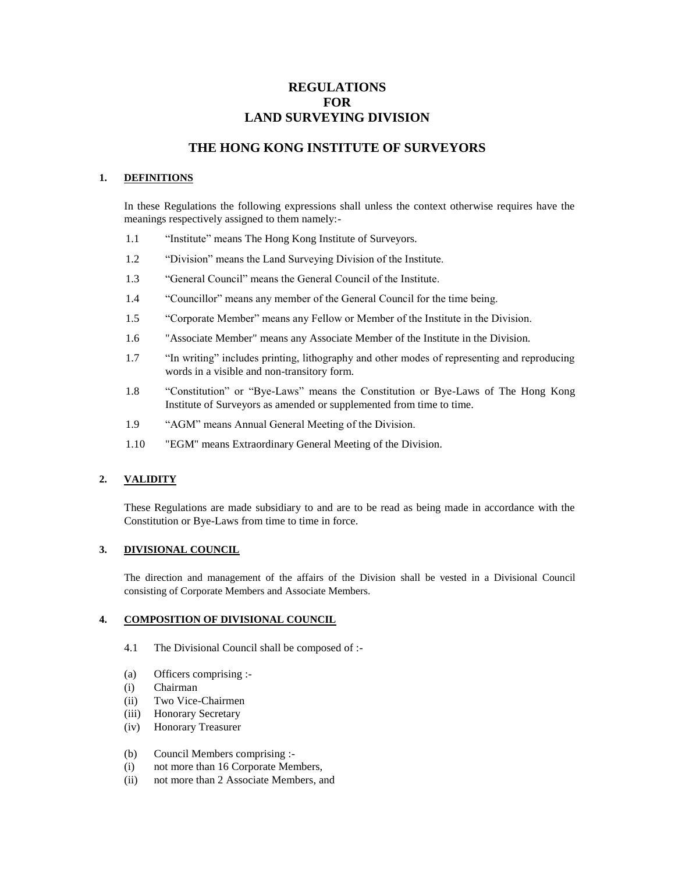# **REGULATIONS FOR LAND SURVEYING DIVISION**

# **THE HONG KONG INSTITUTE OF SURVEYORS**

### **1. DEFINITIONS**

In these Regulations the following expressions shall unless the context otherwise requires have the meanings respectively assigned to them namely:-

- 1.1 "Institute" means The Hong Kong Institute of Surveyors.
- 1.2 "Division" means the Land Surveying Division of the Institute.
- 1.3 "General Council" means the General Council of the Institute.
- 1.4 "Councillor" means any member of the General Council for the time being.
- 1.5 "Corporate Member" means any Fellow or Member of the Institute in the Division.
- 1.6 "Associate Member" means any Associate Member of the Institute in the Division.
- 1.7 "In writing" includes printing, lithography and other modes of representing and reproducing words in a visible and non-transitory form.
- 1.8 "Constitution" or "Bye-Laws" means the Constitution or Bye-Laws of The Hong Kong Institute of Surveyors as amended or supplemented from time to time.
- 1.9 "AGM" means Annual General Meeting of the Division.
- 1.10 "EGM" means Extraordinary General Meeting of the Division.

## **2. VALIDITY**

These Regulations are made subsidiary to and are to be read as being made in accordance with the Constitution or Bye-Laws from time to time in force.

## **3. DIVISIONAL COUNCIL**

The direction and management of the affairs of the Division shall be vested in a Divisional Council consisting of Corporate Members and Associate Members.

### **4. COMPOSITION OF DIVISIONAL COUNCIL**

- 4.1 The Divisional Council shall be composed of :-
- (a) Officers comprising :-
- (i) Chairman
- (ii) Two Vice-Chairmen
- (iii) Honorary Secretary
- (iv) Honorary Treasurer

### (b) Council Members comprising :-

- (i) not more than 16 Corporate Members,
- (ii) not more than 2 Associate Members, and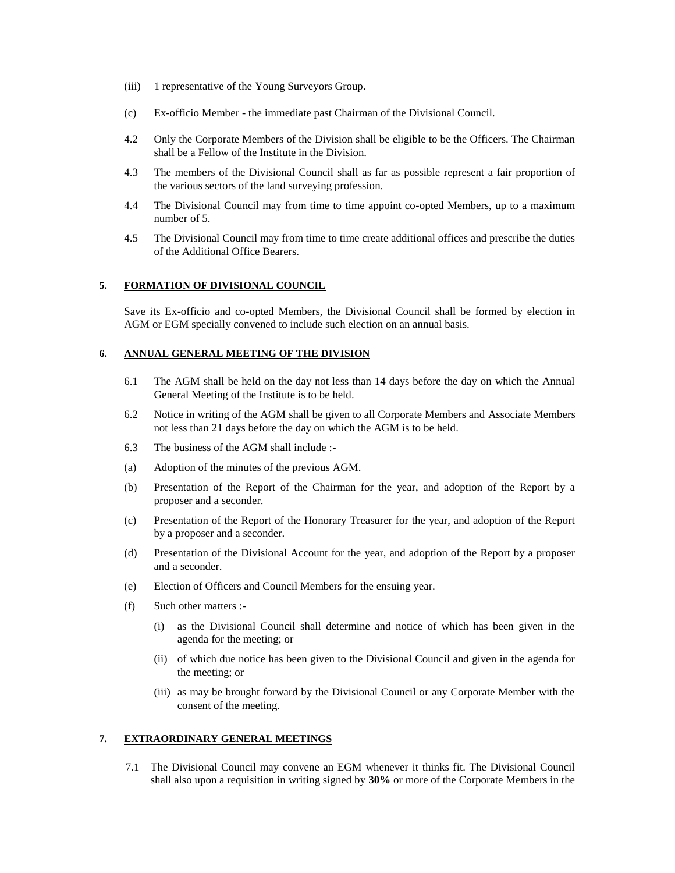- (iii) 1 representative of the Young Surveyors Group.
- (c) Ex-officio Member the immediate past Chairman of the Divisional Council.
- 4.2 Only the Corporate Members of the Division shall be eligible to be the Officers. The Chairman shall be a Fellow of the Institute in the Division.
- 4.3 The members of the Divisional Council shall as far as possible represent a fair proportion of the various sectors of the land surveying profession.
- 4.4 The Divisional Council may from time to time appoint co-opted Members, up to a maximum number of 5.
- 4.5 The Divisional Council may from time to time create additional offices and prescribe the duties of the Additional Office Bearers.

### **5. FORMATION OF DIVISIONAL COUNCIL**

Save its Ex-officio and co-opted Members, the Divisional Council shall be formed by election in AGM or EGM specially convened to include such election on an annual basis.

#### **6. ANNUAL GENERAL MEETING OF THE DIVISION**

- 6.1 The AGM shall be held on the day not less than 14 days before the day on which the Annual General Meeting of the Institute is to be held.
- 6.2 Notice in writing of the AGM shall be given to all Corporate Members and Associate Members not less than 21 days before the day on which the AGM is to be held.
- 6.3 The business of the AGM shall include :-
- (a) Adoption of the minutes of the previous AGM.
- (b) Presentation of the Report of the Chairman for the year, and adoption of the Report by a proposer and a seconder.
- (c) Presentation of the Report of the Honorary Treasurer for the year, and adoption of the Report by a proposer and a seconder.
- (d) Presentation of the Divisional Account for the year, and adoption of the Report by a proposer and a seconder.
- (e) Election of Officers and Council Members for the ensuing year.
- (f) Such other matters :-
	- (i) as the Divisional Council shall determine and notice of which has been given in the agenda for the meeting; or
	- (ii) of which due notice has been given to the Divisional Council and given in the agenda for the meeting; or
	- (iii) as may be brought forward by the Divisional Council or any Corporate Member with the consent of the meeting.

### **7. EXTRAORDINARY GENERAL MEETINGS**

7.1 The Divisional Council may convene an EGM whenever it thinks fit. The Divisional Council shall also upon a requisition in writing signed by **30%** or more of the Corporate Members in the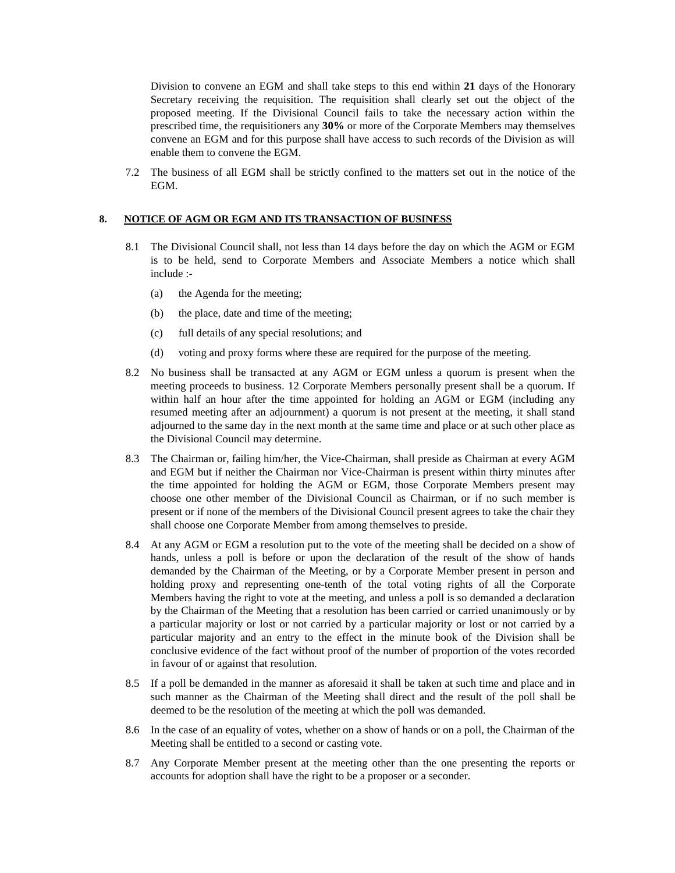Division to convene an EGM and shall take steps to this end within **21** days of the Honorary Secretary receiving the requisition. The requisition shall clearly set out the object of the proposed meeting. If the Divisional Council fails to take the necessary action within the prescribed time, the requisitioners any **30%** or more of the Corporate Members may themselves convene an EGM and for this purpose shall have access to such records of the Division as will enable them to convene the EGM.

7.2 The business of all EGM shall be strictly confined to the matters set out in the notice of the EGM.

### **8. NOTICE OF AGM OR EGM AND ITS TRANSACTION OF BUSINESS**

- 8.1 The Divisional Council shall, not less than 14 days before the day on which the AGM or EGM is to be held, send to Corporate Members and Associate Members a notice which shall include :-
	- (a) the Agenda for the meeting;
	- (b) the place, date and time of the meeting;
	- (c) full details of any special resolutions; and
	- (d) voting and proxy forms where these are required for the purpose of the meeting.
- 8.2 No business shall be transacted at any AGM or EGM unless a quorum is present when the meeting proceeds to business. 12 Corporate Members personally present shall be a quorum. If within half an hour after the time appointed for holding an AGM or EGM (including any resumed meeting after an adjournment) a quorum is not present at the meeting, it shall stand adjourned to the same day in the next month at the same time and place or at such other place as the Divisional Council may determine.
- 8.3 The Chairman or, failing him/her, the Vice-Chairman, shall preside as Chairman at every AGM and EGM but if neither the Chairman nor Vice-Chairman is present within thirty minutes after the time appointed for holding the AGM or EGM, those Corporate Members present may choose one other member of the Divisional Council as Chairman, or if no such member is present or if none of the members of the Divisional Council present agrees to take the chair they shall choose one Corporate Member from among themselves to preside.
- 8.4 At any AGM or EGM a resolution put to the vote of the meeting shall be decided on a show of hands, unless a poll is before or upon the declaration of the result of the show of hands demanded by the Chairman of the Meeting, or by a Corporate Member present in person and holding proxy and representing one-tenth of the total voting rights of all the Corporate Members having the right to vote at the meeting, and unless a poll is so demanded a declaration by the Chairman of the Meeting that a resolution has been carried or carried unanimously or by a particular majority or lost or not carried by a particular majority or lost or not carried by a particular majority and an entry to the effect in the minute book of the Division shall be conclusive evidence of the fact without proof of the number of proportion of the votes recorded in favour of or against that resolution.
- 8.5 If a poll be demanded in the manner as aforesaid it shall be taken at such time and place and in such manner as the Chairman of the Meeting shall direct and the result of the poll shall be deemed to be the resolution of the meeting at which the poll was demanded.
- 8.6 In the case of an equality of votes, whether on a show of hands or on a poll, the Chairman of the Meeting shall be entitled to a second or casting vote.
- 8.7 Any Corporate Member present at the meeting other than the one presenting the reports or accounts for adoption shall have the right to be a proposer or a seconder.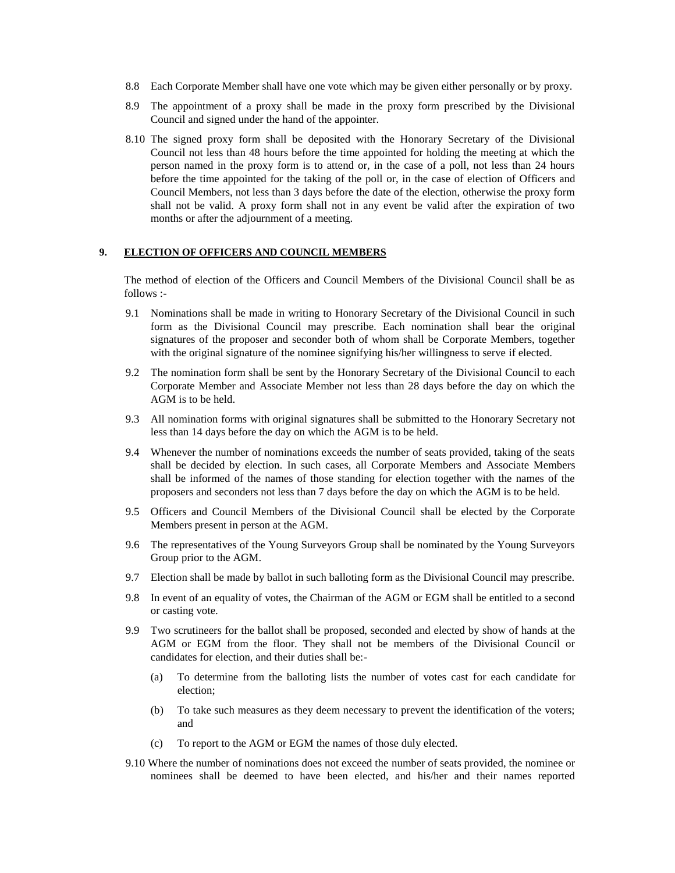- 8.8 Each Corporate Member shall have one vote which may be given either personally or by proxy.
- 8.9 The appointment of a proxy shall be made in the proxy form prescribed by the Divisional Council and signed under the hand of the appointer.
- 8.10 The signed proxy form shall be deposited with the Honorary Secretary of the Divisional Council not less than 48 hours before the time appointed for holding the meeting at which the person named in the proxy form is to attend or, in the case of a poll, not less than 24 hours before the time appointed for the taking of the poll or, in the case of election of Officers and Council Members, not less than 3 days before the date of the election, otherwise the proxy form shall not be valid. A proxy form shall not in any event be valid after the expiration of two months or after the adjournment of a meeting.

### **9. ELECTION OF OFFICERS AND COUNCIL MEMBERS**

The method of election of the Officers and Council Members of the Divisional Council shall be as follows :-

- 9.1 Nominations shall be made in writing to Honorary Secretary of the Divisional Council in such form as the Divisional Council may prescribe. Each nomination shall bear the original signatures of the proposer and seconder both of whom shall be Corporate Members, together with the original signature of the nominee signifying his/her willingness to serve if elected.
- 9.2 The nomination form shall be sent by the Honorary Secretary of the Divisional Council to each Corporate Member and Associate Member not less than 28 days before the day on which the AGM is to be held.
- 9.3 All nomination forms with original signatures shall be submitted to the Honorary Secretary not less than 14 days before the day on which the AGM is to be held.
- 9.4 Whenever the number of nominations exceeds the number of seats provided, taking of the seats shall be decided by election. In such cases, all Corporate Members and Associate Members shall be informed of the names of those standing for election together with the names of the proposers and seconders not less than 7 days before the day on which the AGM is to be held.
- 9.5 Officers and Council Members of the Divisional Council shall be elected by the Corporate Members present in person at the AGM.
- 9.6 The representatives of the Young Surveyors Group shall be nominated by the Young Surveyors Group prior to the AGM.
- 9.7 Election shall be made by ballot in such balloting form as the Divisional Council may prescribe.
- 9.8 In event of an equality of votes, the Chairman of the AGM or EGM shall be entitled to a second or casting vote.
- 9.9 Two scrutineers for the ballot shall be proposed, seconded and elected by show of hands at the AGM or EGM from the floor. They shall not be members of the Divisional Council or candidates for election, and their duties shall be:-
	- (a) To determine from the balloting lists the number of votes cast for each candidate for election;
	- (b) To take such measures as they deem necessary to prevent the identification of the voters; and
	- (c) To report to the AGM or EGM the names of those duly elected.
- 9.10 Where the number of nominations does not exceed the number of seats provided, the nominee or nominees shall be deemed to have been elected, and his/her and their names reported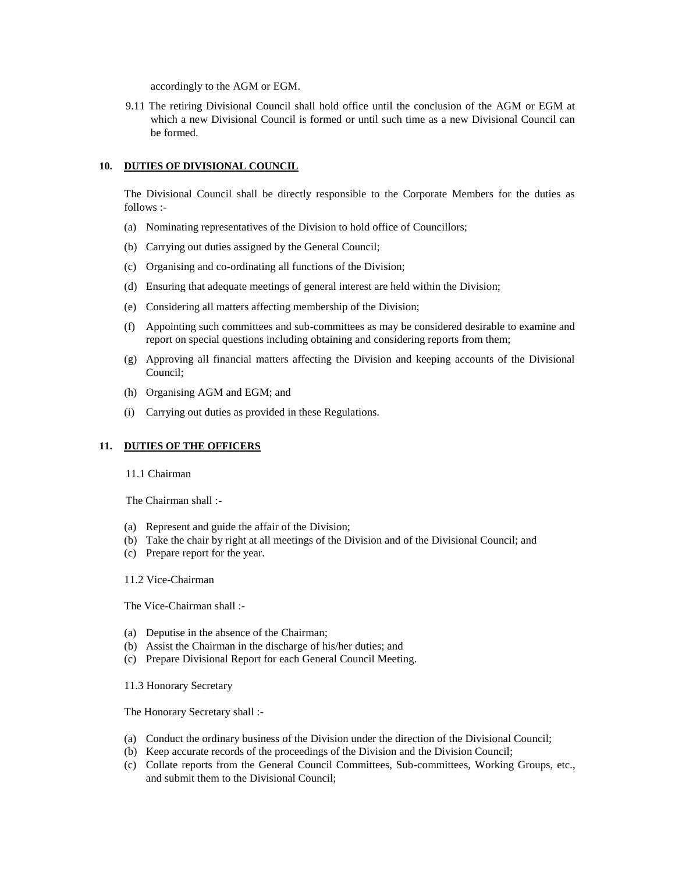accordingly to the AGM or EGM.

9.11 The retiring Divisional Council shall hold office until the conclusion of the AGM or EGM at which a new Divisional Council is formed or until such time as a new Divisional Council can be formed.

### **10. DUTIES OF DIVISIONAL COUNCIL**

The Divisional Council shall be directly responsible to the Corporate Members for the duties as follows :-

- (a) Nominating representatives of the Division to hold office of Councillors;
- (b) Carrying out duties assigned by the General Council;
- (c) Organising and co-ordinating all functions of the Division;
- (d) Ensuring that adequate meetings of general interest are held within the Division;
- (e) Considering all matters affecting membership of the Division;
- (f) Appointing such committees and sub-committees as may be considered desirable to examine and report on special questions including obtaining and considering reports from them;
- (g) Approving all financial matters affecting the Division and keeping accounts of the Divisional Council;
- (h) Organising AGM and EGM; and
- (i) Carrying out duties as provided in these Regulations.

### **11. DUTIES OF THE OFFICERS**

11.1 Chairman

The Chairman shall :-

- (a) Represent and guide the affair of the Division;
- (b) Take the chair by right at all meetings of the Division and of the Divisional Council; and
- (c) Prepare report for the year.
- 11.2 Vice-Chairman

The Vice-Chairman shall :-

- (a) Deputise in the absence of the Chairman;
- (b) Assist the Chairman in the discharge of his/her duties; and
- (c) Prepare Divisional Report for each General Council Meeting.

11.3 Honorary Secretary

The Honorary Secretary shall :-

- (a) Conduct the ordinary business of the Division under the direction of the Divisional Council;
- (b) Keep accurate records of the proceedings of the Division and the Division Council;
- (c) Collate reports from the General Council Committees, Sub-committees, Working Groups, etc., and submit them to the Divisional Council;